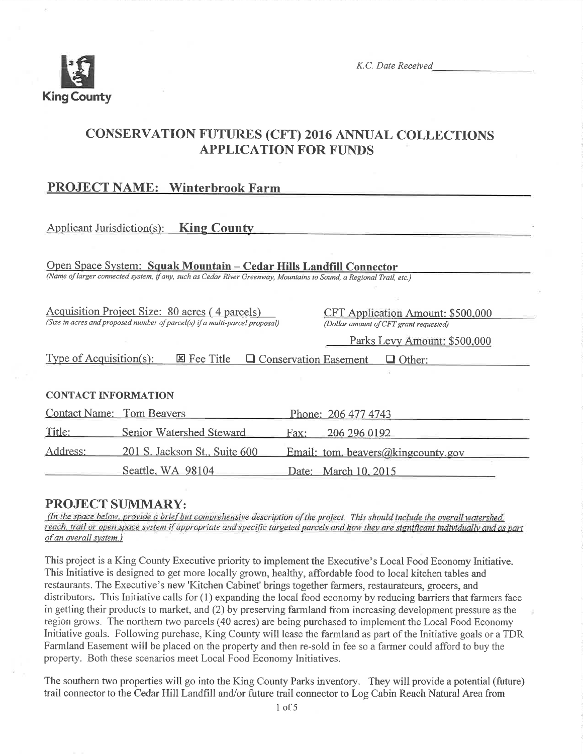

K.C. Date Received

# CONSERVATION FUTURES (CFT) 2016 ANNUAL COLLECTIONS APPLICATION FOR FUNDS

# PROJECT NAME: Winterbrook Farm

# Applicant Jurisdiction(s): **King County**

Open Space System: Squak Mountain - Cedar Hills Landfill Connector (Name of larger connected system, if any, such as Cedar River Greenway, Mountains to Sound, a Regional Trail, etc.)

Acquisition Proiect Size: 80 acres ( 4 parcels) (Size in acres and proposed number of parcel(s) if a multi-parcel proposal) CFT Application Amount: \$500,000 (Dollar amount of CFT grant requested)

Parks Levy Amount: \$500,000

Type of Acquisition(s):  $\boxtimes$  Fee Title  $\Box$  Conservation Easement  $\Box$  Other:

## CONTACT INFORMATION

| <b>Contact Name:</b> Tom Beavers |                               | Phone: 206 477 4743                |
|----------------------------------|-------------------------------|------------------------------------|
| Title:                           | Senior Watershed Steward      | 206 296 0192<br>Fax:               |
| Address:                         | 201 S. Jackson St., Suite 600 | Email: tom. beavers@kingcounty.gov |
|                                  | Seattle, WA 98104             | Date: March 10, 2015               |

# PROJECT SUMMARY:

(In the space below, provide a brief but comprehensive description of the project. This should include the overall watershed, reach, trail or open space system if appropriate and specific targeted parcels and how they are significant individually and as part of an overall system.)

This project is a King County Executive priority to implement the Executive's Local Food Economy lnitiative. This Initiative is designed to get more locally grown, healthy, affordable food to local kitchen tables and restaurants. The Executive's new 'Kitchen Cabinet' brings together farmers, restaurateurs, grocers, and distributors. This Initiative calls for (1) expanding the local food economy by reducing barriers that farmers face in getting their products to market, and (2) by preserving farmland from increasing development pressure as the region grows. The northern two parcels (40 acres) are being purchased to implement the Local Food Economy Initiative goals. Following purchase, King County will lease the farmland as part of the Initiative goals or a TDR Fannland Easement will be placed on the property and then re-sold in fee so a farmer could afford to buy the property. Both these scenarios meet Local Food Economy Initiatives.

The southern two properties will go into the King County Parks inventory. They will provide a potential (future) trail connector to the Cedar Hill Landfill and/or future trail connector to Log Cabin Reach Natural Area from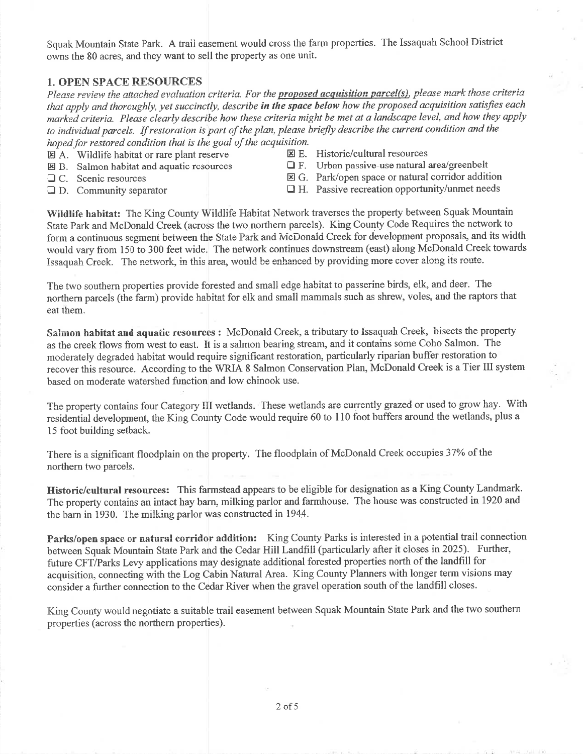Squak Mountain State Park. A traii easement would cross the farm properties. The Issaquah School District owns the 80 acres, and they want to sell the property as one unit.

## 1. OPEN SPACE RESOURCES

Please review the attached evaluation criteria. For the proposed acquisition parcel(s), please mark those criteria that apply and thoroughly, yet succinctly, describe **in the space below** how the proposed acquisition satisfies each marked criteria. Please clearly describe how these criteria might be met at a landscape level, and how they applyto individual parcels. If restoration is part of the plan, please briefly describe the current condition and the hoped for restored condition that is the goal of the acquisition.<br>  $\mathbb{E}$  A. Wildlife habitat or rare plant reserve  $\mathbb{E}$  E. Historic/cultural resources

- $\boxtimes$  A. Wildlife habitat or rare plant reserve
- 
- 
- 
- $\Xi$  B. Salmon habitat and aquatic resources  $\Box$  F. Urban passive-use natural area/greenbelt
- □ C. Scenic resources  $\boxtimes$  G. Park/open space or natural corridor addition
- $\Box$  D. Community separator  $\Box$  H. Passive recreation opportunity/unmet needs
- 

Wildlife habitat: The King County Wildlife Habitat Network traverses the property between Squak Mountain State Park and McDonald Creek (across the two northern parcels). King County Code Requires the network toform a continuous segment between the State Park and McDonaid Creek for development proposals, and its width would vary from 150 to 300 feet wide. The network continues downstream (east) along McDonald Creek towardsIssaquah Creek. The network, in this area, would be enhanced by providing more cover along its route.

The two southern properties provide forested and small edge habitat to passerine birds, elk, and deer. The northern parcels (the farm) provide habitat for elk and small mammals such as shrew, voles, and the raptors that eat them.

Salmon habitat and aquatic resources : McDonald Creek, a tributary to Issaquah Creek, bisects the property as the creek flows from west to east. It is a salmon bearing stream, and it contains some Coho Salmon. The moderately degraded habitat would require significant restoration, particularly riparian buffer restoration torecover this resource. According to the WRIA 8 Salmon Conservation Plan, McDonald Creek is a Tier III system based on moderate watershed function and low chinook use.

The property contains four Category III wetlands. These wetlands are currently grazed or used to grow hay. With residential development, the King County Code would require 60 to 110 foot buffers around the wetlands, plus al5 foot building setback.

There is a significant floodplain on the property. The floodplain of McDonald Creek occupies 37% of the northern two parcels.

Historic/cultural resources: This farmstead appears to be eligible for designation as a King County Landmark. The property contains an intact hay bam, milking parlor and farmhouse. The house was constructed in 1920 and' the barn in 1930. The milking parlor was constructed in 1944.

Parks/open space or natural corridor addition: King County Parks is interested in a potential trail connection between Squak Mountain State Park and the Cedar Hiil Landfiii (particulariy after it cioses in2025). Further, future CFT/Parks Levy applications may designate additional forested properties north of the landfill for acquisition, connecting with the Log Cabin Natural Area. King County Planners with longer term visions mayconsider a fuither connection to the Cedar River when the gravel operation south of the landfill closes.

King County would negotiate a suitable trail easement between Squak Mountain State Park and the two southernproperties (across the northern properties).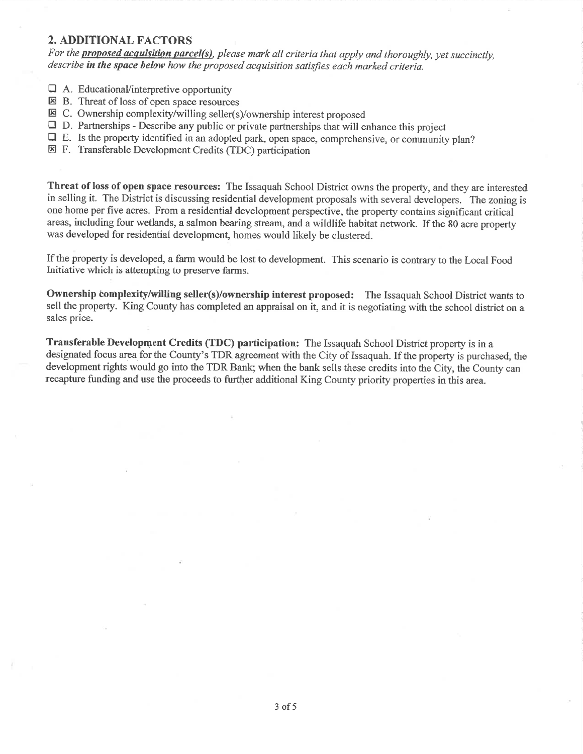## 2. ADDITIONAL FACTORS

For the **proposed acquisition parcel(s)**, please mark all criteria that apply and thoroughly, yet succinctly, describe in the space below how the proposed acquisition satisfies each marked criteria.

- $\Box$  A. Educational/interpretive opportunity
- E B. Threat of loss of open space resources
- El C. Ownership complexity/willing seller(s)/ownership interest proposed
- **D.** Partnerships Describe any public or private partnerships that will enhance this project
- QE. Is the property identified in an adopted park, open space, comprehensive, or community plan?
- E F. Transferable Development Credits (TDC) participation

Threat of loss of open space resources: The Issaquah School District owns the property, and they are interested in selling it. The District is discussing residential development proposals with several developers. The zoning is one home per five acres. From a residential development perspective, the property contains significant critical areas, including four wetlands, a salmon bearing stream, and a wildlife habitat network. If the 80 acre property was developed for residential development, homes would likely be clustered.

If the property is developed, a farm would be lost to development. This scenario is contrary to the Local Food lnitiative which is attempting to preserve farms.

Ownership complexity/willing seller(s)/ownership interest proposed: The Issaquah School District wants to sell the property. King County has completed an appraisal on it, and it is negotiating with the school district on a sales price.

**Transferable Development Credits (TDC) participation:** The Issaquah School District property is in a designated focus area for the County's TDR agreement with the City of Issaquah. If the property is purchased, the development rights would go into the TDR Bank; when the bank sells these credits into the City, the County can recapture funding and use the proceeds to further additional King County priority properties in this area.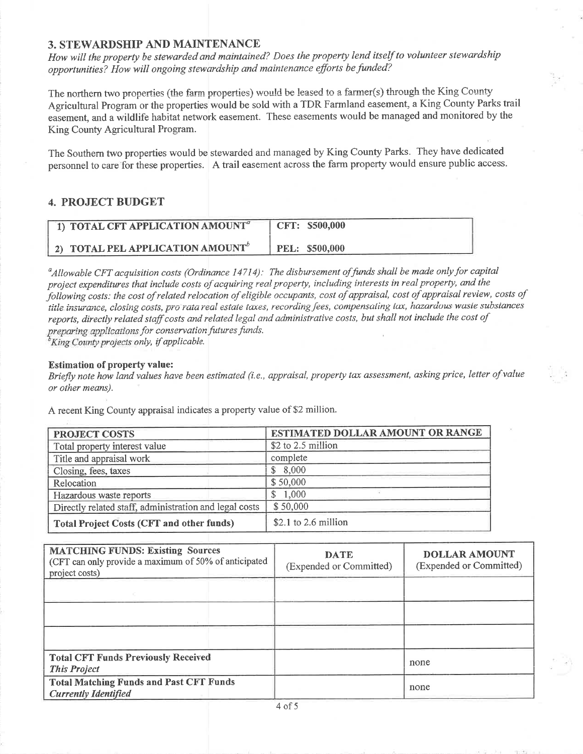## **3. STEWARDSHIP AND MAINTENANCE**

How will the property be stewarded and maintained? Does the property lend itself to volunteer stewardship opportunities? How will ongoing stewardship and maintenance efforts be funded?

The northern two properties (the farm properties) would be leased to a farmer(s) through the King County Agricultural Program or the properties would be sold with a TDR Farmland easement, a King County Parks trail easement, and a wildlife habitat network easement. These easements would be managed and monitored by the King County Agricultural Program.

The Southern two properties would be stewarded and managed by King County Parks. They have dedicated personnel to care for these properties. A trail easement across the farm property would ensure public access.

## **4. PROJECT BUDGET**

| 1) TOTAL CFT APPLICATION AMOUNT <sup>a</sup> | CFT: \$500,000 |
|----------------------------------------------|----------------|
| 2) TOTAL PEL APPLICATION AMOUNT              | PEL: \$500,000 |

<sup>a</sup>Allowable CFT acquisition costs (Ordinance 14714): The disbursement of funds shall be made only for capital project expenditures that include costs of acquiring real property, including interests in real property, and the following costs: the cost of related relocation of eligible occupants, cost of appraisal, cost of appraisal review, costs of title insurance, closing costs, pro rata real estate taxes, recording fees, compensating tax, hazardous waste substances reports, directly related staff costs and related legal and administrative costs, but shall not include the cost of preparing applications for conservation futures funds.

<sup>b</sup>King County projects only, if applicable.

#### **Estimation of property value:**

Briefly note how land values have been estimated (i.e., appraisal, property tax assessment, asking price, letter of value or other means).

A recent King County appraisal indicates a property value of \$2 million.

| <b>PROJECT COSTS</b>                                   | ESTIMATED DOLLAR AMOUNT OR RANGE |  |  |
|--------------------------------------------------------|----------------------------------|--|--|
| Total property interest value                          | \$2 to 2.5 million               |  |  |
| Title and appraisal work                               | complete                         |  |  |
| Closing, fees, taxes                                   | \$8,000                          |  |  |
| Relocation                                             | \$50,000                         |  |  |
| Hazardous waste reports                                | \$1,000                          |  |  |
| Directly related staff, administration and legal costs | \$50,000                         |  |  |
| <b>Total Project Costs (CFT and other funds)</b>       | \$2.1 to 2.6 million             |  |  |

| <b>MATCHING FUNDS: Existing Sources</b><br>(CFT can only provide a maximum of 50% of anticipated<br>project costs) | <b>DATE</b><br>(Expended or Committed) | <b>DOLLAR AMOUNT</b><br>(Expended or Committed) |
|--------------------------------------------------------------------------------------------------------------------|----------------------------------------|-------------------------------------------------|
|                                                                                                                    |                                        |                                                 |
|                                                                                                                    |                                        |                                                 |
|                                                                                                                    |                                        |                                                 |
| <b>Total CFT Funds Previously Received</b><br><b>This Project</b>                                                  |                                        | none                                            |
| <b>Total Matching Funds and Past CFT Funds</b><br><b>Currently Identified</b>                                      |                                        | none                                            |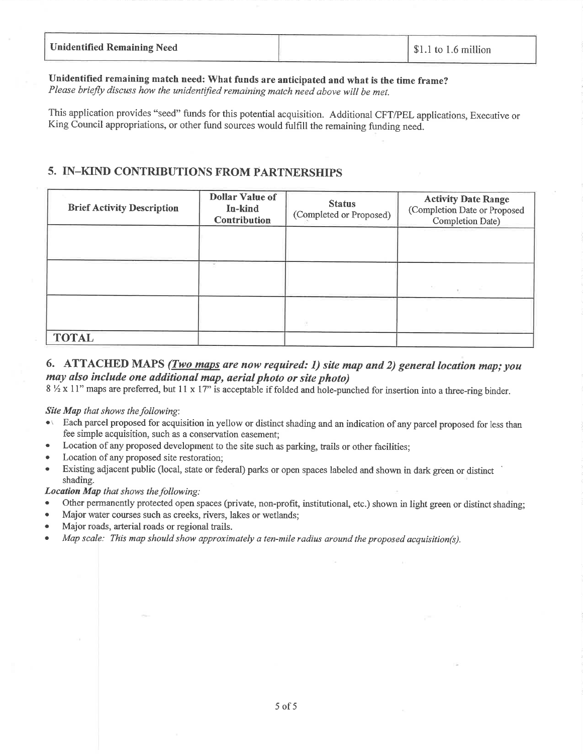| <b>Unidentified Remaining Need</b> | $\frac{1}{2}$ \$1.1 to 1.6 million |
|------------------------------------|------------------------------------|
|                                    |                                    |

# Unidentified remaining match need: What funds are anticipated and what is the time frame?

Please briefly discuss how the unidentified remaining match need above will be met.

This application provides "seed" funds for this potential acquisition. Additional CFT/PEL applications, Executive or King Council appropriations, or other fund sources would fulfill the remaining funding need.

# 5. IN-KIND CONTRIBUTIONS FROM PARTNERSHIPS

| <b>Brief Activity Description</b> | <b>Dollar Value of</b><br>In-kind<br><b>Contribution</b> | <b>Status</b><br>(Completed or Proposed) | <b>Activity Date Range</b><br>(Completion Date or Proposed<br>Completion Date) |
|-----------------------------------|----------------------------------------------------------|------------------------------------------|--------------------------------------------------------------------------------|
|                                   |                                                          |                                          |                                                                                |
|                                   |                                                          |                                          |                                                                                |
|                                   |                                                          |                                          |                                                                                |
| <b>TOTAL</b>                      |                                                          |                                          |                                                                                |

# 6. ATTACHED MAPS (*Two maps are now required: 1) site map and 2) general location map; you* may also include one additional map, aerial photo or site photo)

8 1/2 x 11" maps are preferred, but 11 x 17" is acceptable if folded and hole-punched for insertion into a three-ring binder.

## Site Map that shows the following:

- Each parcel proposed for acquisition in yellow or distinct shading and an indication of any parcel proposed for less than  $\bullet$ fee simple acquisition, such as a conservation easement;
- Location of any proposed development to the site such as parking, trails or other facilities;
- Location of any proposed site restoration:
- Existing adjacent public (local, state or federal) parks or open spaces labeled and shown in dark green or distinct shading.

## Location Map that shows the following:

- Other permanently protected open spaces (private, non-profit, institutional, etc.) shown in light green or distinct shading:
- Major water courses such as creeks, rivers, lakes or wetlands:
- Major roads, arterial roads or regional trails.
- Map scale: This map should show approximately a ten-mile radius around the proposed acquisition(s).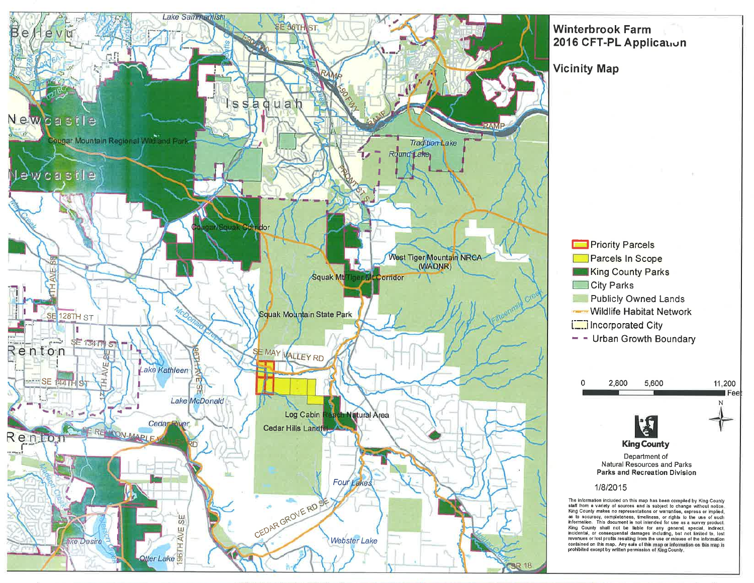

# **Winterbrook Farm** 2016 CFT-PL Application

**Vicinity Map** 

**Priority Parcels** Parcels In Scope King County Parks **City Parks Contract Publicly Owned Lands Wildlife Habitat Network** Incorporated City  $-$  - Urban Growth Boundary



#### 1/8/2015

The information included on this map has been compled by King County<br>slaff from a variety of sources and is subject to change without notice.<br>King County makes no representations or warranties, express or implied,<br>as to ac information. This document is not intended for use as a survey product. King County shall not be liable for any general, special, indirect, ing Source and the matter of the matter of the matter of the information in the matter of the profile in the matter of the information contained on this map. Any sale of the information contained on this map. Any sale of t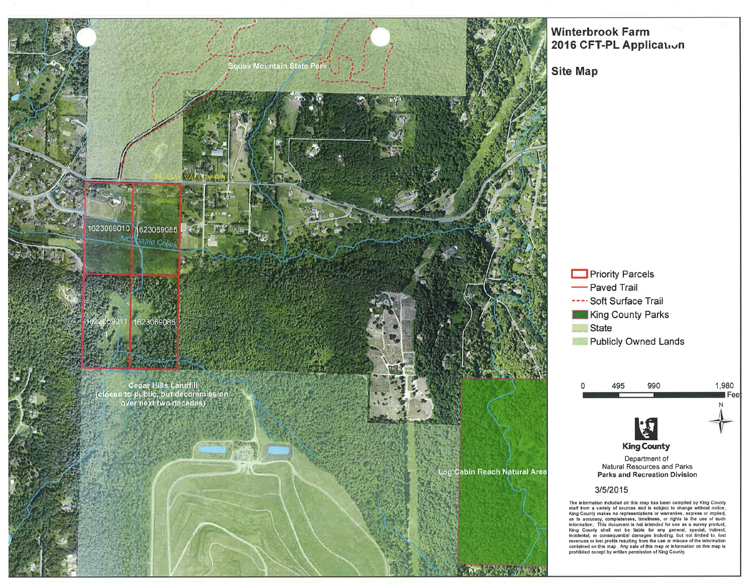